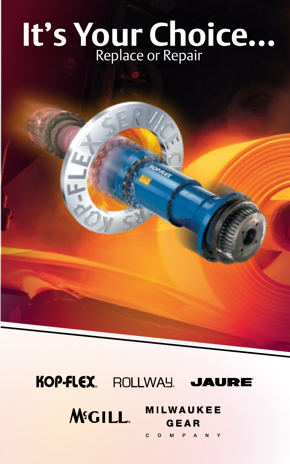# **It's Your Choice...**

#### KOP FLEX **ROLLWAY JAURE**

#### MILWAUKEE **M**SILL GEAR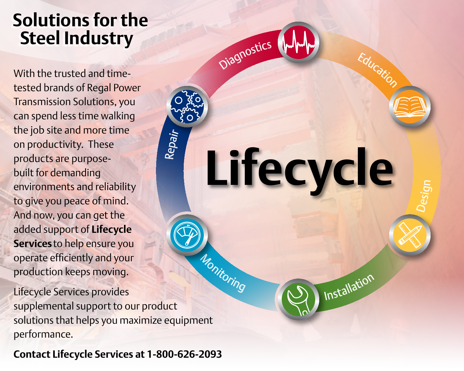#### **Solutions for the Steel Industry**

With the trusted and timetested brands of Regal Power Transmission Solutions, you can spend less time walking the job site and more time on productivity. These products are purposebuilt for demanding environments and reliability to give you peace of mind. And now, you can get the added support of **Lifecycle Services** to help ensure you operate efficiently and your production keeps moving.

Lifecycle Services provides supplemental support to our product solutions that helps you maximize equipment performance. <sup>M</sup>onitorin<sup>g</sup>

**Installation** 

**Lifecycle**

**Diagnostics** 

Repair

Design

<sup>E</sup>ducatio<sup>n</sup>

**Contact Lifecycle Services at 1-800-626-2093**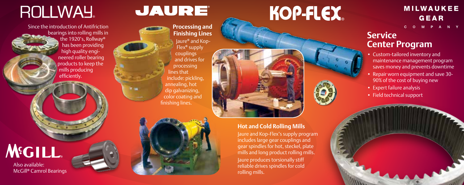### ROLLWAY

Since the introduction of Antifriction bearings into rolling mills in the 1920's, Rollway **®** has been providing high quality engi neered roller bearing products to keep the mills producing efficiently.

## **M**SCILL

Also available: McGill **®** Camrol Bearings

### **JAURE**

finishing lines.

**Processing and Finishing Lines** Jaure **®** and Kop-Flex**®** supply couplings and drives for processing lines that include: pickling, annealing, hot dip galvanizing,

# KOP-FLEX.

#### **MILWAUKEE GEAR** P A N Y

### **Service Center Program**

- Custom-tailored inventory and maintenance management program saves money and prevents downtime
- Repair worn equipment and save 30- 90% of the cost of buying new
- Expert failure analysis
- Field technical support

color coating and

**Hot and Cold Rolling Mills** Jaure and Kop-Flex's supply program includes large gear couplings and gear spindles for hot, steckel, plate mills and long product rolling mills. Jaure produces torsionally stiff reliable drives spindles for cold rolling mills.